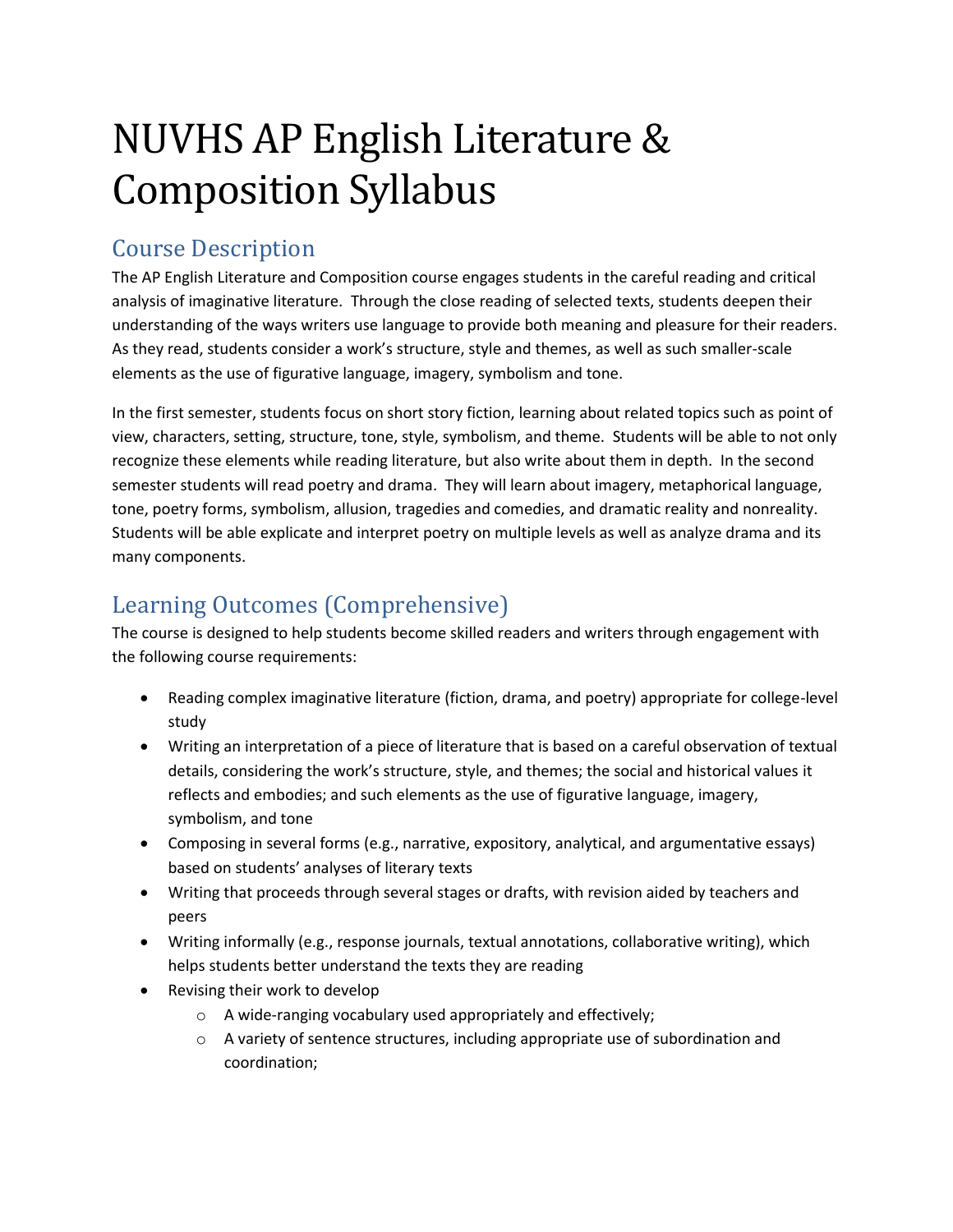# NUVHS AP English Literature & Composition Syllabus

#### Course Description

The AP English Literature and Composition course engages students in the careful reading and critical analysis of imaginative literature. Through the close reading of selected texts, students deepen their understanding of the ways writers use language to provide both meaning and pleasure for their readers. As they read, students consider a work's structure, style and themes, as well as such smaller-scale elements as the use of figurative language, imagery, symbolism and tone.

In the first semester, students focus on short story fiction, learning about related topics such as point of view, characters, setting, structure, tone, style, symbolism, and theme. Students will be able to not only recognize these elements while reading literature, but also write about them in depth. In the second semester students will read poetry and drama. They will learn about imagery, metaphorical language, tone, poetry forms, symbolism, allusion, tragedies and comedies, and dramatic reality and nonreality. Students will be able explicate and interpret poetry on multiple levels as well as analyze drama and its many components.

## Learning Outcomes (Comprehensive)

The course is designed to help students become skilled readers and writers through engagement with the following course requirements:

- Reading complex imaginative literature (fiction, drama, and poetry) appropriate for college-level study
- Writing an interpretation of a piece of literature that is based on a careful observation of textual details, considering the work's structure, style, and themes; the social and historical values it reflects and embodies; and such elements as the use of figurative language, imagery, symbolism, and tone
- Composing in several forms (e.g., narrative, expository, analytical, and argumentative essays) based on students' analyses of literary texts
- Writing that proceeds through several stages or drafts, with revision aided by teachers and peers
- Writing informally (e.g., response journals, textual annotations, collaborative writing), which helps students better understand the texts they are reading
- Revising their work to develop
	- o A wide-ranging vocabulary used appropriately and effectively;
	- $\circ$  A variety of sentence structures, including appropriate use of subordination and coordination;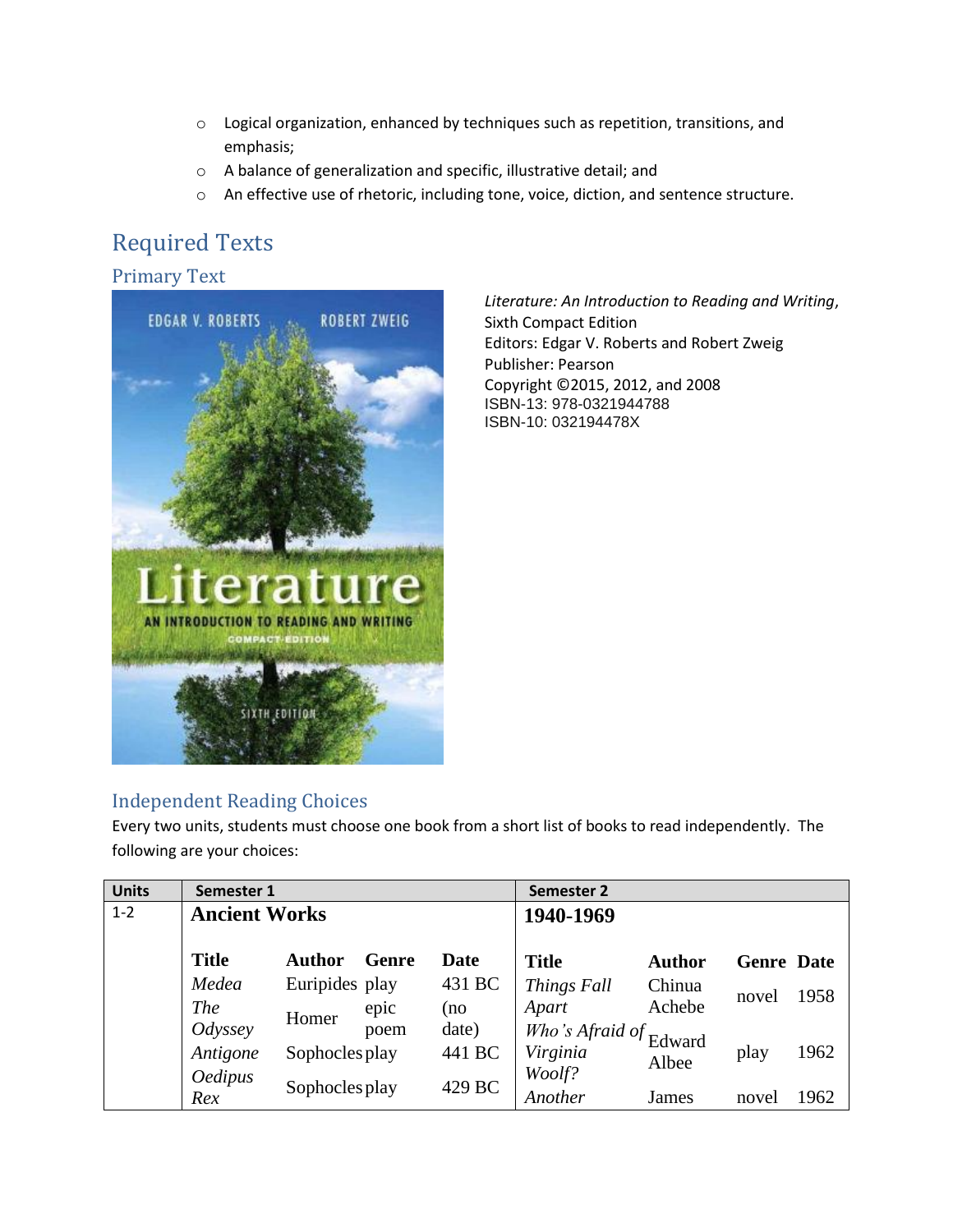- $\circ$  Logical organization, enhanced by techniques such as repetition, transitions, and emphasis;
- o A balance of generalization and specific, illustrative detail; and
- o An effective use of rhetoric, including tone, voice, diction, and sentence structure.

## Required Texts

#### Primary Text



*Literature: An Introduction to Reading and Writing*, Sixth Compact Edition Editors: Edgar V. Roberts and Robert Zweig Publisher: Pearson Copyright ©2015, 2012, and 2008 ISBN-13: 978-0321944788 ISBN-10: 032194478X

#### Independent Reading Choices

Every two units, students must choose one book from a short list of books to read independently. The following are your choices:

| <b>Units</b> | Semester 1           |                |       |             | Semester 2                                                     |               |                   |      |
|--------------|----------------------|----------------|-------|-------------|----------------------------------------------------------------|---------------|-------------------|------|
| $1 - 2$      | <b>Ancient Works</b> |                |       |             | 1940-1969                                                      |               |                   |      |
|              | <b>Title</b>         | Author         | Genre | <b>Date</b> | <b>Title</b>                                                   | <b>Author</b> | <b>Genre</b> Date |      |
|              | Medea                | Euripides play |       | 431 BC      | Things Fall                                                    | Chinua        |                   | 1958 |
|              | <i>The</i>           | Homer          | epic  | (no         | Apart                                                          | Achebe        | novel             |      |
|              | Odyssey              |                | poem  | date)       | $\overrightarrow{W}$ ho's Afraid of $\overrightarrow{E}$ dward |               |                   |      |
|              | Antigone             | Sophocles play |       | 441 BC      | Virginia                                                       | Albee         | play              | 1962 |
|              | <b>Oedipus</b>       |                |       |             | Woolf?                                                         |               |                   |      |
|              | Rex                  | Sophocles play |       | 429 BC      | Another                                                        | James         | novel             | 1962 |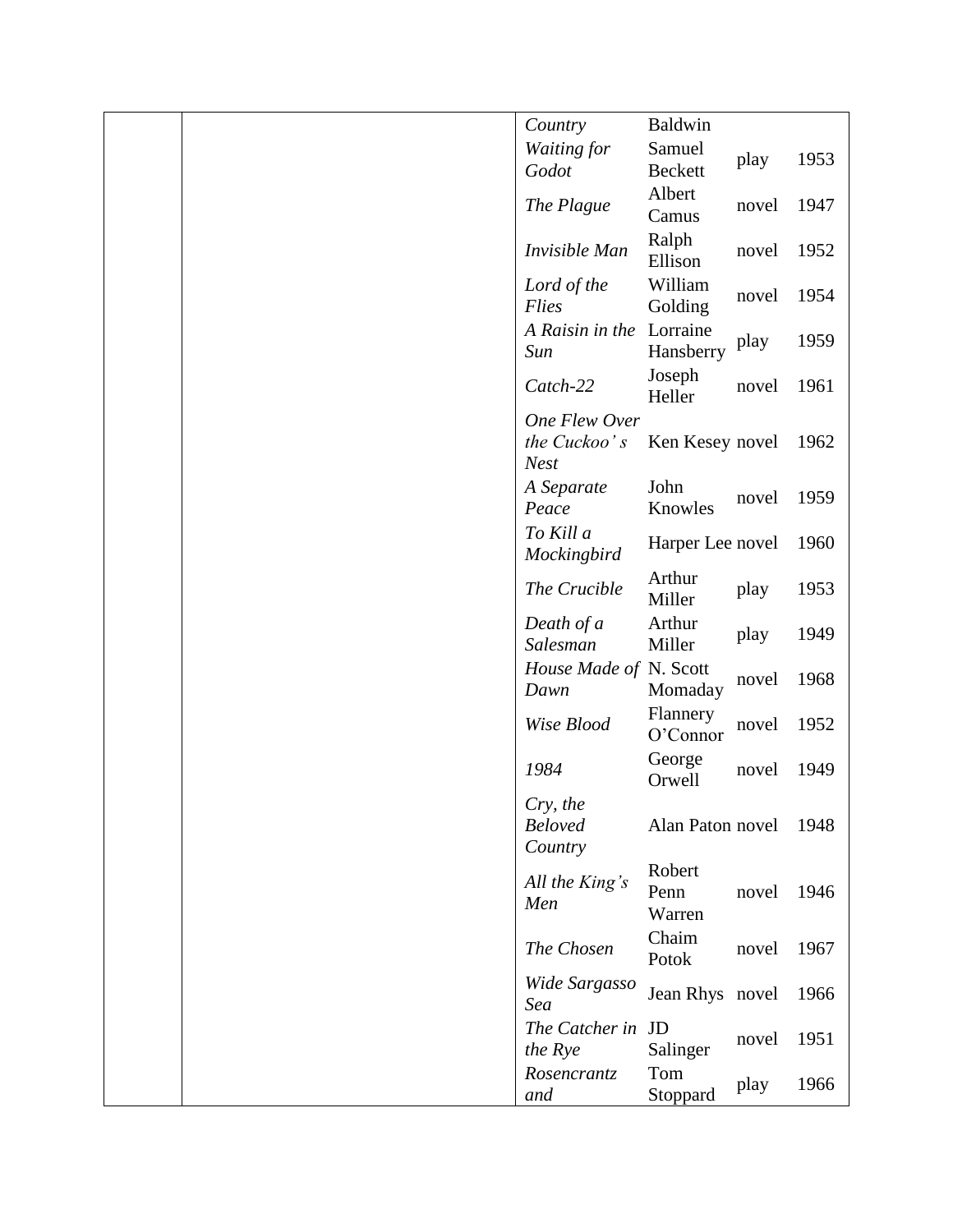|  | Country                               | Baldwin                  |       |      |
|--|---------------------------------------|--------------------------|-------|------|
|  | Waiting for                           | Samuel                   |       | 1953 |
|  | Godot                                 | <b>Beckett</b>           | play  |      |
|  | The Plague                            | Albert<br>Camus          | novel | 1947 |
|  | Invisible Man                         | Ralph<br>Ellison         | novel | 1952 |
|  | Lord of the<br>Flies                  | William<br>Golding       | novel | 1954 |
|  | A Raisin in the<br>Sun                | Lorraine<br>Hansberry    | play  | 1959 |
|  | Catch-22                              | Joseph<br>Heller         | novel | 1961 |
|  | One Flew Over                         |                          |       |      |
|  | the Cuckoo's<br><b>Nest</b>           | Ken Kesey novel          |       | 1962 |
|  | A Separate<br>Peace                   | John<br>Knowles          | novel | 1959 |
|  | To Kill a<br>Mockingbird              | Harper Lee novel         |       | 1960 |
|  | The Crucible                          | Arthur<br>Miller         | play  | 1953 |
|  | Death of a<br>Salesman                | Arthur<br>Miller         | play  | 1949 |
|  | House Made of N. Scott<br>Dawn        | Momaday                  | novel | 1968 |
|  | Wise Blood                            | Flannery<br>O'Connor     | novel | 1952 |
|  | 1984                                  | George<br>Orwell         | novel | 1949 |
|  | Cry, the<br><b>Beloved</b><br>Country | Alan Paton novel         |       | 1948 |
|  | All the King's<br>Men                 | Robert<br>Penn<br>Warren | novel | 1946 |
|  | The Chosen                            | Chaim<br>Potok           | novel | 1967 |
|  | Wide Sargasso<br>Sea                  | Jean Rhys novel          |       | 1966 |
|  | The Catcher in JD<br>the Rye          | Salinger                 | novel | 1951 |
|  | Rosencrantz<br>and                    | Tom<br>Stoppard          | play  | 1966 |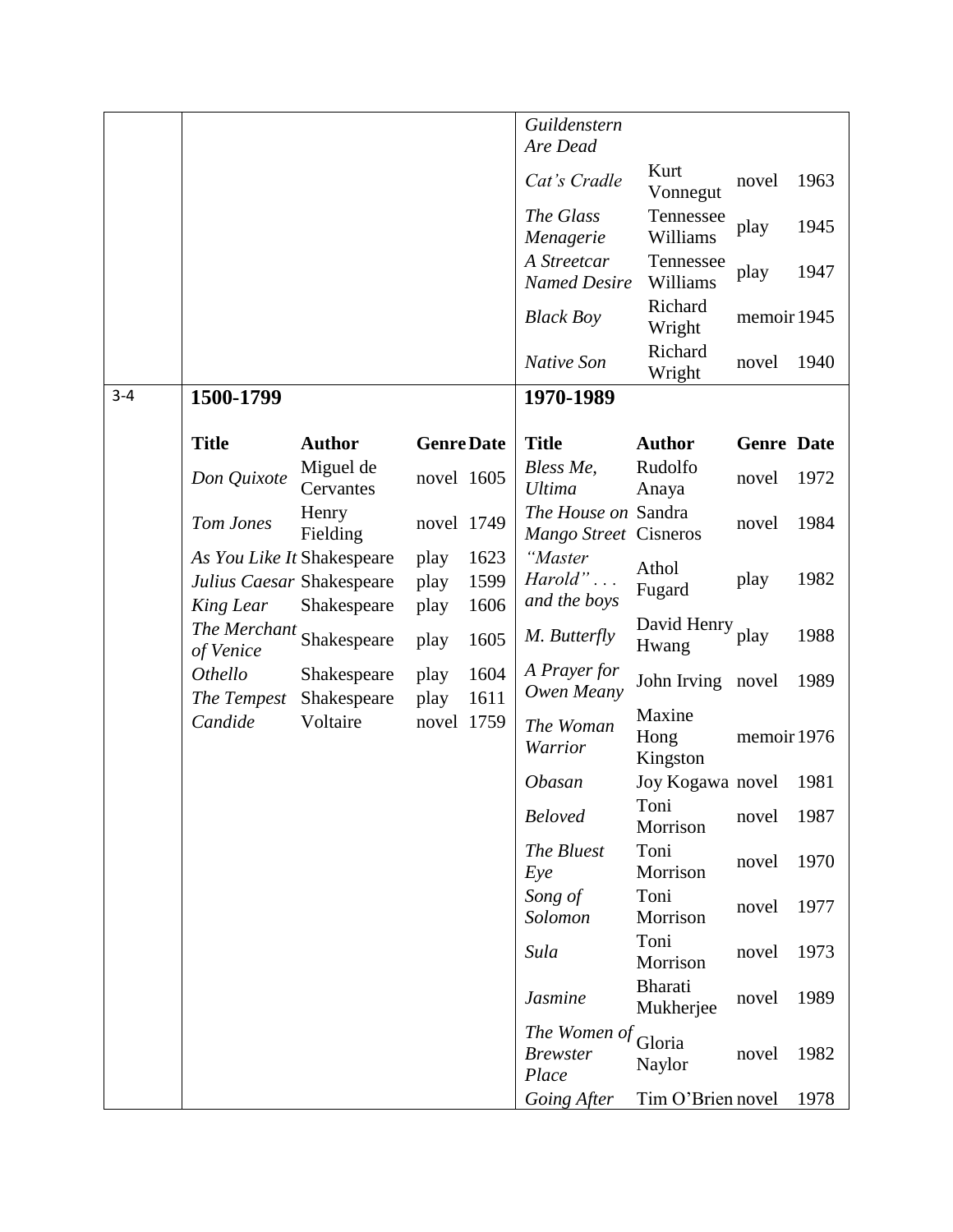|         |                                                                      |                            |                      |                      | Guildenstern<br>Are Dead                     |                            |                   |      |
|---------|----------------------------------------------------------------------|----------------------------|----------------------|----------------------|----------------------------------------------|----------------------------|-------------------|------|
|         |                                                                      |                            |                      |                      | Cat's Cradle                                 | Kurt<br>Vonnegut           | novel             | 1963 |
|         |                                                                      |                            |                      |                      | The Glass<br>Menagerie                       | Tennessee<br>Williams      | play              | 1945 |
|         |                                                                      |                            |                      |                      | A Streetcar<br><b>Named Desire</b>           | Tennessee<br>Williams      | play              | 1947 |
|         |                                                                      |                            |                      |                      | <b>Black Boy</b>                             | Richard<br>Wright          | memoir 1945       |      |
|         |                                                                      |                            |                      |                      | Native Son                                   | Richard<br>Wright          | novel             | 1940 |
| $3 - 4$ | 1500-1799                                                            |                            |                      |                      | 1970-1989                                    |                            |                   |      |
|         | <b>Title</b>                                                         | <b>Author</b>              | <b>Genre Date</b>    |                      | <b>Title</b>                                 | <b>Author</b>              | <b>Genre</b> Date |      |
|         | Don Quixote                                                          | Miguel de<br>Cervantes     | novel 1605           |                      | Bless Me,<br><b>Ultima</b>                   | Rudolfo<br>Anaya           | novel             | 1972 |
|         | Tom Jones                                                            | Henry<br>Fielding          | novel 1749           |                      | The House on Sandra<br>Mango Street Cisneros |                            | novel             | 1984 |
|         | As You Like It Shakespeare<br>Julius Caesar Shakespeare<br>King Lear | Shakespeare                | play<br>play<br>play | 1623<br>1599<br>1606 | "Master<br>Hard"<br>and the boys             | Athol<br>Fugard            | play              | 1982 |
|         | The Merchant<br>of Venice                                            | Shakespeare                | play                 | 1605                 | M. Butterfly                                 | David Henry<br>Hwang       | play              | 1988 |
|         | Othello<br>The Tempest                                               | Shakespeare<br>Shakespeare | play<br>play         | 1604<br>1611         | A Prayer for<br>Owen Meany                   | John Irving novel          |                   | 1989 |
|         | Candide                                                              | Voltaire                   | novel 1759           |                      | The Woman<br>Warrior                         | Maxine<br>Hong<br>Kingston | memoir 1976       |      |
|         |                                                                      |                            |                      |                      | Obasan                                       | Joy Kogawa novel           |                   | 1981 |
|         |                                                                      |                            |                      |                      | <b>Beloved</b>                               | Toni<br>Morrison           | novel             | 1987 |
|         |                                                                      |                            |                      |                      | The Bluest<br>Eye                            | Toni<br>Morrison           | novel             | 1970 |
|         |                                                                      |                            |                      |                      | Song of<br>Solomon                           | Toni<br>Morrison           | novel             | 1977 |
|         |                                                                      |                            |                      |                      | Sula                                         | Toni<br>Morrison           | novel             | 1973 |
|         |                                                                      |                            |                      |                      | <b>Jasmine</b>                               | Bharati<br>Mukherjee       | novel             | 1989 |
|         |                                                                      |                            |                      |                      | The Women of<br><b>Brewster</b><br>Place     | Gloria<br>Naylor           | novel             | 1982 |
|         |                                                                      |                            |                      |                      | Going After                                  | Tim O'Brien novel          |                   | 1978 |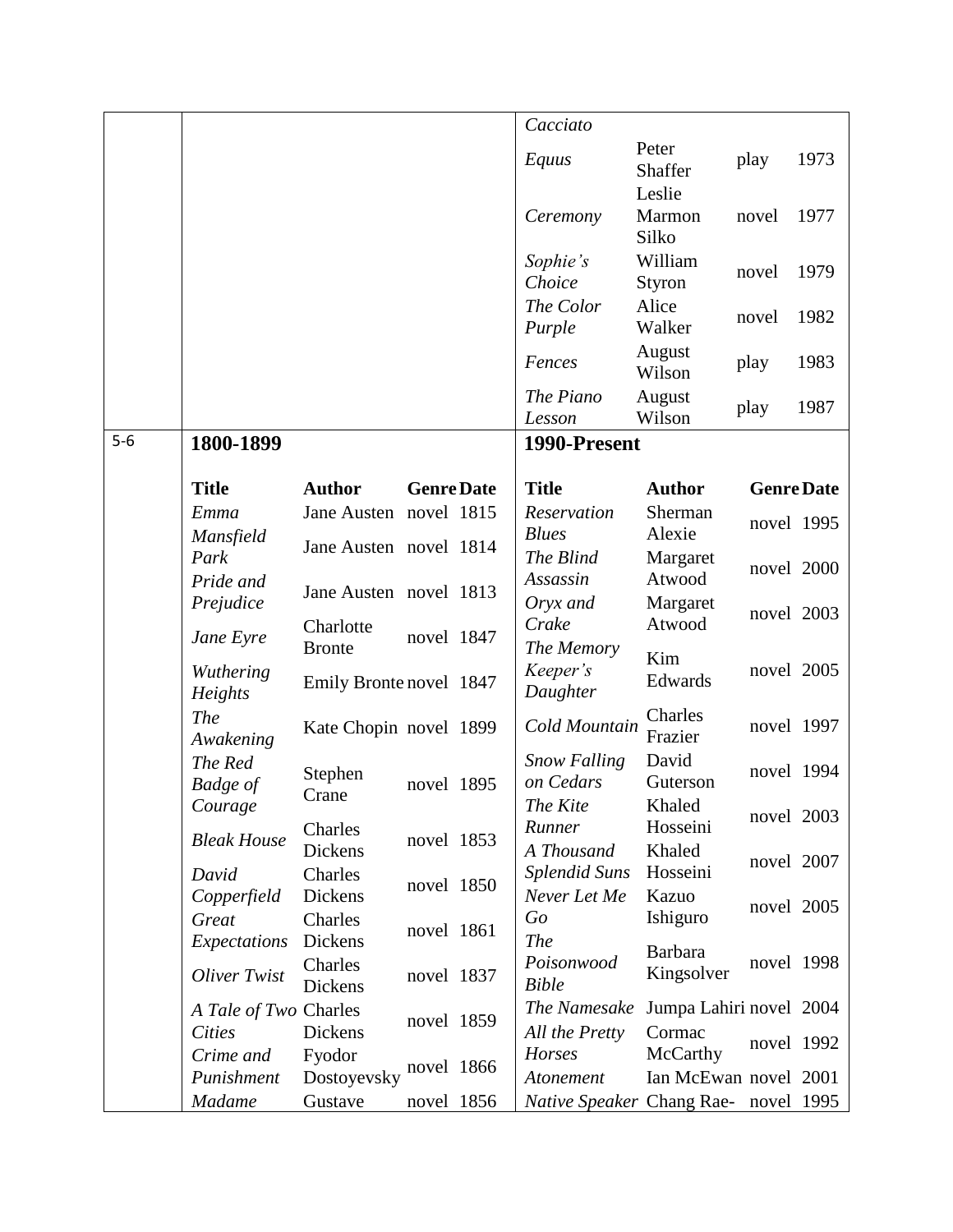|       |                            |                            |                   | Cacciato                             |                              |                   |      |
|-------|----------------------------|----------------------------|-------------------|--------------------------------------|------------------------------|-------------------|------|
|       |                            |                            |                   | Equus                                | Peter<br><b>Shaffer</b>      | play              | 1973 |
|       |                            |                            |                   | Ceremony                             | Leslie<br>Marmon<br>Silko    | novel             | 1977 |
|       |                            |                            |                   | Sophie's<br>Choice                   | William<br>Styron            | novel             | 1979 |
|       |                            |                            |                   | The Color<br>Purple                  | Alice<br>Walker              | novel             | 1982 |
|       |                            |                            |                   | Fences                               | August<br>Wilson             | play              | 1983 |
|       |                            |                            |                   | The Piano<br>Lesson                  | August<br>Wilson             | play              | 1987 |
| $5-6$ | 1800-1899                  |                            |                   | 1990-Present                         |                              |                   |      |
|       | <b>Title</b>               | <b>Author</b>              | <b>Genre Date</b> | <b>Title</b>                         | <b>Author</b>                | <b>Genre Date</b> |      |
|       | Emma                       | Jane Austen novel 1815     |                   | Reservation                          | Sherman                      | novel 1995        |      |
|       | Mansfield<br>Park          | Jane Austen novel 1814     |                   | <b>Blues</b><br>The Blind            | Alexie<br>Margaret           |                   |      |
|       | Pride and                  |                            |                   | Assassin                             | Atwood                       | novel 2000        |      |
|       | Prejudice                  | Jane Austen novel 1813     |                   | Oryx and                             | Margaret                     | novel 2003        |      |
|       | Jane Eyre                  | Charlotte<br><b>Bronte</b> | novel 1847        | Crake<br>The Memory                  | Atwood                       |                   |      |
|       | Wuthering<br>Heights       | Emily Bronte novel 1847    |                   | Keeper's<br>Daughter                 | Kim<br>Edwards               | novel 2005        |      |
|       | <b>The</b><br>Awakening    | Kate Chopin novel 1899     |                   | Cold Mountain                        | Charles<br>Frazier           | novel 1997        |      |
|       | The Red<br><b>Badge</b> of | Stephen<br>Crane           | novel 1895        | <b>Snow Falling</b><br>on Cedars     | David<br>Guterson            | novel 1994        |      |
|       | Courage                    |                            |                   | The Kite<br>Runner                   | Khaled<br>Hosseini           | novel 2003        |      |
|       | <b>Bleak House</b>         | Charles<br>Dickens         | novel 1853        | A Thousand                           | Khaled                       |                   |      |
|       | David                      | Charles                    | novel 1850        | <b>Splendid Suns</b>                 | Hosseini                     | novel 2007        |      |
|       | Copperfield<br>Great       | Dickens<br>Charles         |                   | Never Let Me<br>Go                   | Kazuo<br>Ishiguro            | novel 2005        |      |
|       | Expectations               | Dickens                    | novel 1861        | <b>The</b>                           |                              |                   |      |
|       | Oliver Twist               | Charles<br>Dickens         | novel 1837        | Poisonwood<br><b>Bible</b>           | <b>Barbara</b><br>Kingsolver | novel 1998        |      |
|       | A Tale of Two Charles      |                            | novel 1859        | The Namesake                         | Jumpa Lahiri novel 2004      |                   |      |
|       | <b>Cities</b><br>Crime and | Dickens<br>Fyodor          |                   | All the Pretty<br>Horses             | Cormac<br>McCarthy           | novel 1992        |      |
|       | Punishment                 | Dostoyevsky                | novel 1866        | Atonement                            | Ian McEwan novel 2001        |                   |      |
|       | <b>Madame</b>              | Gustave                    | novel 1856        | Native Speaker Chang Rae- novel 1995 |                              |                   |      |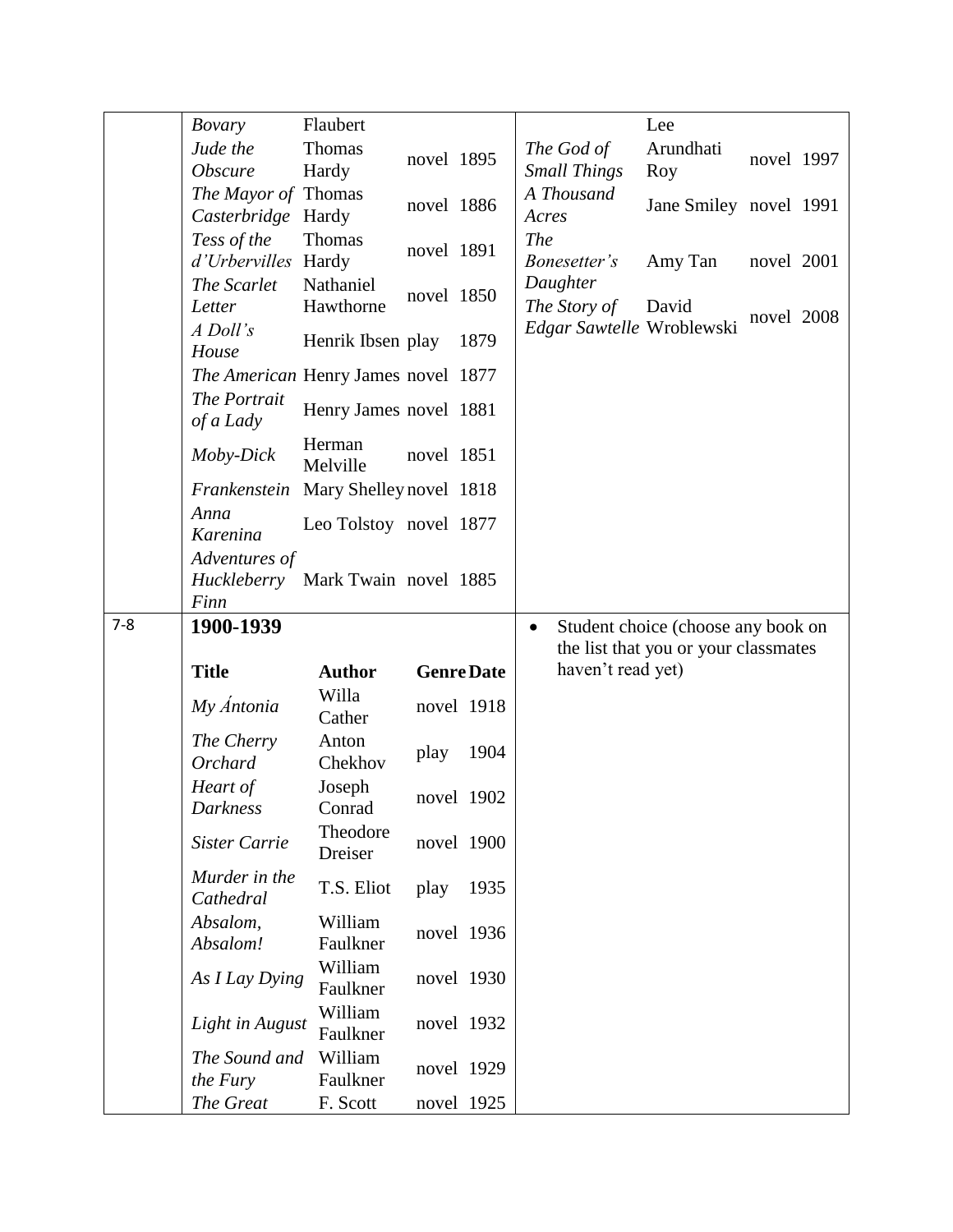|         | <b>Bovary</b>                       | Flaubert                |            |                   |                           | Lee                                  |            |  |
|---------|-------------------------------------|-------------------------|------------|-------------------|---------------------------|--------------------------------------|------------|--|
|         |                                     |                         |            |                   |                           |                                      |            |  |
|         | Jude the                            | <b>Thomas</b>           | novel 1895 |                   | The God of                | Arundhati                            | novel 1997 |  |
|         | Obscure                             | Hardy                   |            |                   | <b>Small Things</b>       | Roy                                  |            |  |
|         | The Mayor of Thomas                 |                         | novel 1886 |                   | A Thousand                | Jane Smiley novel 1991               |            |  |
|         | Casterbridge Hardy                  |                         |            |                   | Acres                     |                                      |            |  |
|         | Tess of the                         | Thomas                  |            |                   | <b>The</b>                |                                      |            |  |
|         | d'Urbervilles                       | Hardy                   | novel 1891 |                   | Bonesetter's              | Amy Tan                              | novel 2001 |  |
|         | The Scarlet                         | Nathaniel               |            |                   | Daughter                  |                                      |            |  |
|         | Letter                              | Hawthorne               | novel 1850 |                   | The Story of              | David                                |            |  |
|         |                                     |                         |            |                   |                           |                                      | novel 2008 |  |
|         | A Doll's                            | Henrik Ibsen play       |            | 1879              | Edgar Sawtelle Wroblewski |                                      |            |  |
|         | House                               |                         |            |                   |                           |                                      |            |  |
|         | The American Henry James novel 1877 |                         |            |                   |                           |                                      |            |  |
|         | The Portrait                        |                         |            |                   |                           |                                      |            |  |
|         | of a Lady                           | Henry James novel 1881  |            |                   |                           |                                      |            |  |
|         |                                     | Herman                  |            |                   |                           |                                      |            |  |
|         | Moby-Dick                           | Melville                | novel 1851 |                   |                           |                                      |            |  |
|         |                                     |                         |            |                   |                           |                                      |            |  |
|         | Frankenstein                        | Mary Shelley novel 1818 |            |                   |                           |                                      |            |  |
|         | Anna                                | Leo Tolstoy novel 1877  |            |                   |                           |                                      |            |  |
|         | Karenina                            |                         |            |                   |                           |                                      |            |  |
|         | Adventures of                       |                         |            |                   |                           |                                      |            |  |
|         | Huckleberry Mark Twain novel 1885   |                         |            |                   |                           |                                      |            |  |
|         | Finn                                |                         |            |                   |                           |                                      |            |  |
|         |                                     |                         |            |                   |                           |                                      |            |  |
|         |                                     |                         |            |                   |                           |                                      |            |  |
| $7 - 8$ | 1900-1939                           |                         |            |                   | $\bullet$                 | Student choice (choose any book on   |            |  |
|         |                                     |                         |            |                   |                           | the list that you or your classmates |            |  |
|         | <b>Title</b>                        | <b>Author</b>           |            | <b>Genre Date</b> | haven't read yet)         |                                      |            |  |
|         |                                     | Willa                   |            |                   |                           |                                      |            |  |
|         | My Antonia                          | Cather                  |            | novel 1918        |                           |                                      |            |  |
|         |                                     |                         |            |                   |                           |                                      |            |  |
|         | The Cherry                          | Anton                   | play       | 1904              |                           |                                      |            |  |
|         | <b>Orchard</b>                      | Chekhov                 |            |                   |                           |                                      |            |  |
|         | Heart of                            | Joseph                  |            | novel 1902        |                           |                                      |            |  |
|         | Darkness                            | Conrad                  |            |                   |                           |                                      |            |  |
|         |                                     | Theodore                |            |                   |                           |                                      |            |  |
|         | Sister Carrie                       | Dreiser                 |            | novel 1900        |                           |                                      |            |  |
|         | Murder in the                       |                         |            |                   |                           |                                      |            |  |
|         |                                     | T.S. Eliot              | play       | 1935              |                           |                                      |            |  |
|         | Cathedral                           |                         |            |                   |                           |                                      |            |  |
|         | Absalom,                            | William                 |            | novel 1936        |                           |                                      |            |  |
|         | Absalom!                            | Faulkner                |            |                   |                           |                                      |            |  |
|         |                                     | William                 |            |                   |                           |                                      |            |  |
|         | As I Lay Dying                      | Faulkner                |            | novel 1930        |                           |                                      |            |  |
|         |                                     | William                 |            |                   |                           |                                      |            |  |
|         | Light in August                     | Faulkner                |            | novel 1932        |                           |                                      |            |  |
|         |                                     |                         |            |                   |                           |                                      |            |  |
|         | The Sound and                       | William                 |            | novel 1929        |                           |                                      |            |  |
|         | the Fury<br>The Great               | Faulkner<br>F. Scott    |            | novel 1925        |                           |                                      |            |  |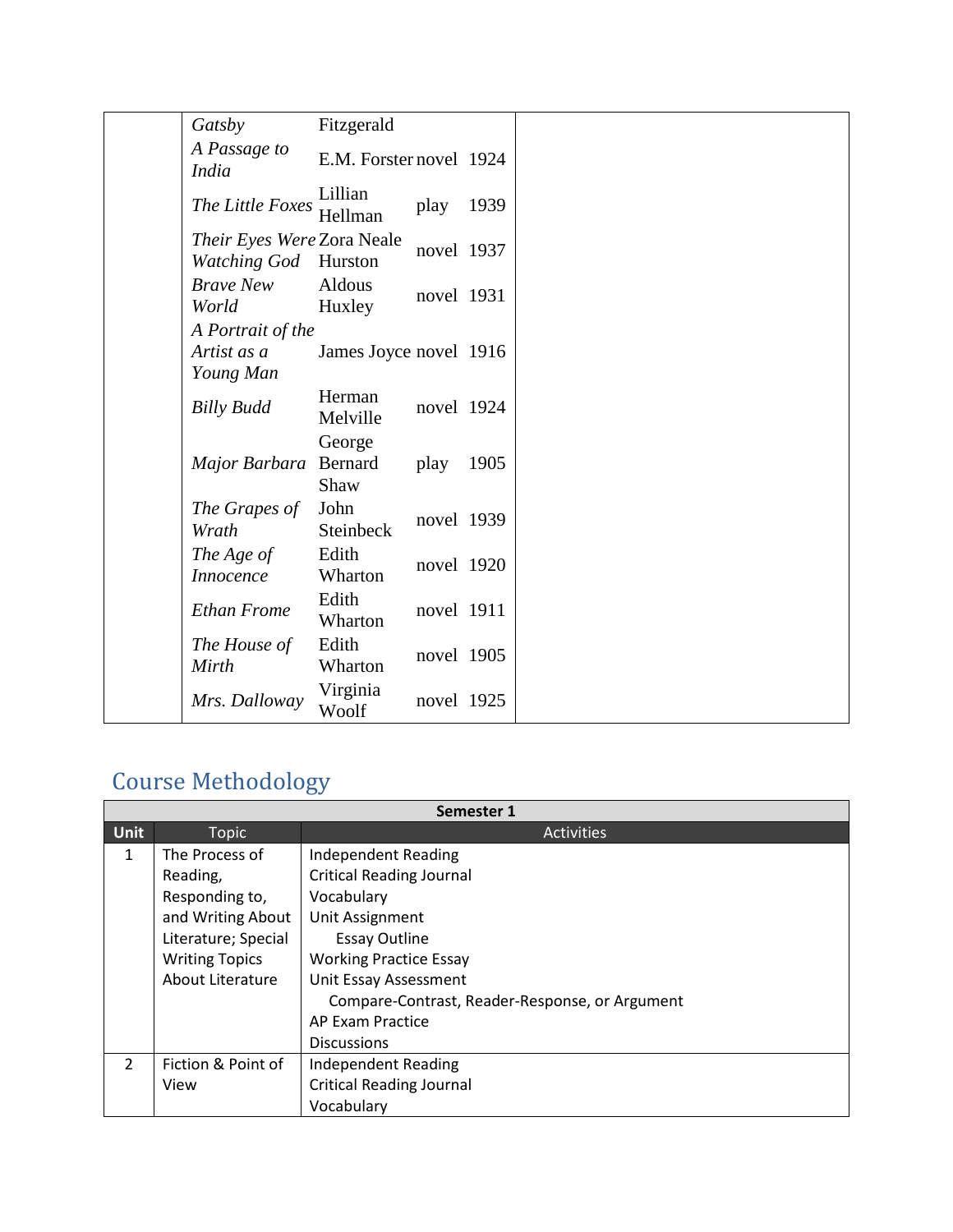| Gatsby                                            | Fitzgerald                |            |      |  |
|---------------------------------------------------|---------------------------|------------|------|--|
| A Passage to<br><i>India</i>                      | E.M. Forster novel 1924   |            |      |  |
| The Little Foxes                                  | Lillian<br>Hellman        | play       | 1939 |  |
| Their Eyes Were Zora Neale<br><b>Watching God</b> | Hurston                   | novel 1937 |      |  |
| <b>Brave New</b><br>World                         | Aldous<br>Huxley          | novel 1931 |      |  |
| A Portrait of the                                 |                           |            |      |  |
| Artist as a                                       | James Joyce novel 1916    |            |      |  |
| Young Man                                         |                           |            |      |  |
| <b>Billy Budd</b>                                 | Herman<br>Melville        | novel 1924 |      |  |
| Major Barbara                                     | George<br>Bernard<br>Shaw | play       | 1905 |  |
| The Grapes of<br>Wrath                            | John<br>Steinbeck         | novel 1939 |      |  |
| The Age of<br>Innocence                           | Edith<br>Wharton          | novel 1920 |      |  |
| <b>Ethan Frome</b>                                | Edith<br>Wharton          | novel 1911 |      |  |
| The House of<br>Mirth                             | Edith<br>Wharton          | novel 1905 |      |  |
| Mrs. Dalloway                                     | Virginia<br>Woolf         | novel 1925 |      |  |

# Course Methodology

|               | Semester 1            |                                                |  |  |  |  |
|---------------|-----------------------|------------------------------------------------|--|--|--|--|
| <b>Unit</b>   | <b>Topic</b>          | <b>Activities</b>                              |  |  |  |  |
| $\mathbf{1}$  | The Process of        | <b>Independent Reading</b>                     |  |  |  |  |
|               | Reading,              | <b>Critical Reading Journal</b>                |  |  |  |  |
|               | Responding to,        | Vocabulary                                     |  |  |  |  |
|               | and Writing About     | Unit Assignment                                |  |  |  |  |
|               | Literature; Special   | <b>Essay Outline</b>                           |  |  |  |  |
|               | <b>Writing Topics</b> | <b>Working Practice Essay</b>                  |  |  |  |  |
|               | About Literature      | Unit Essay Assessment                          |  |  |  |  |
|               |                       | Compare-Contrast, Reader-Response, or Argument |  |  |  |  |
|               |                       | AP Exam Practice                               |  |  |  |  |
|               |                       | <b>Discussions</b>                             |  |  |  |  |
| $\mathcal{L}$ | Fiction & Point of    | <b>Independent Reading</b>                     |  |  |  |  |
|               | View                  | <b>Critical Reading Journal</b>                |  |  |  |  |
|               |                       | Vocabulary                                     |  |  |  |  |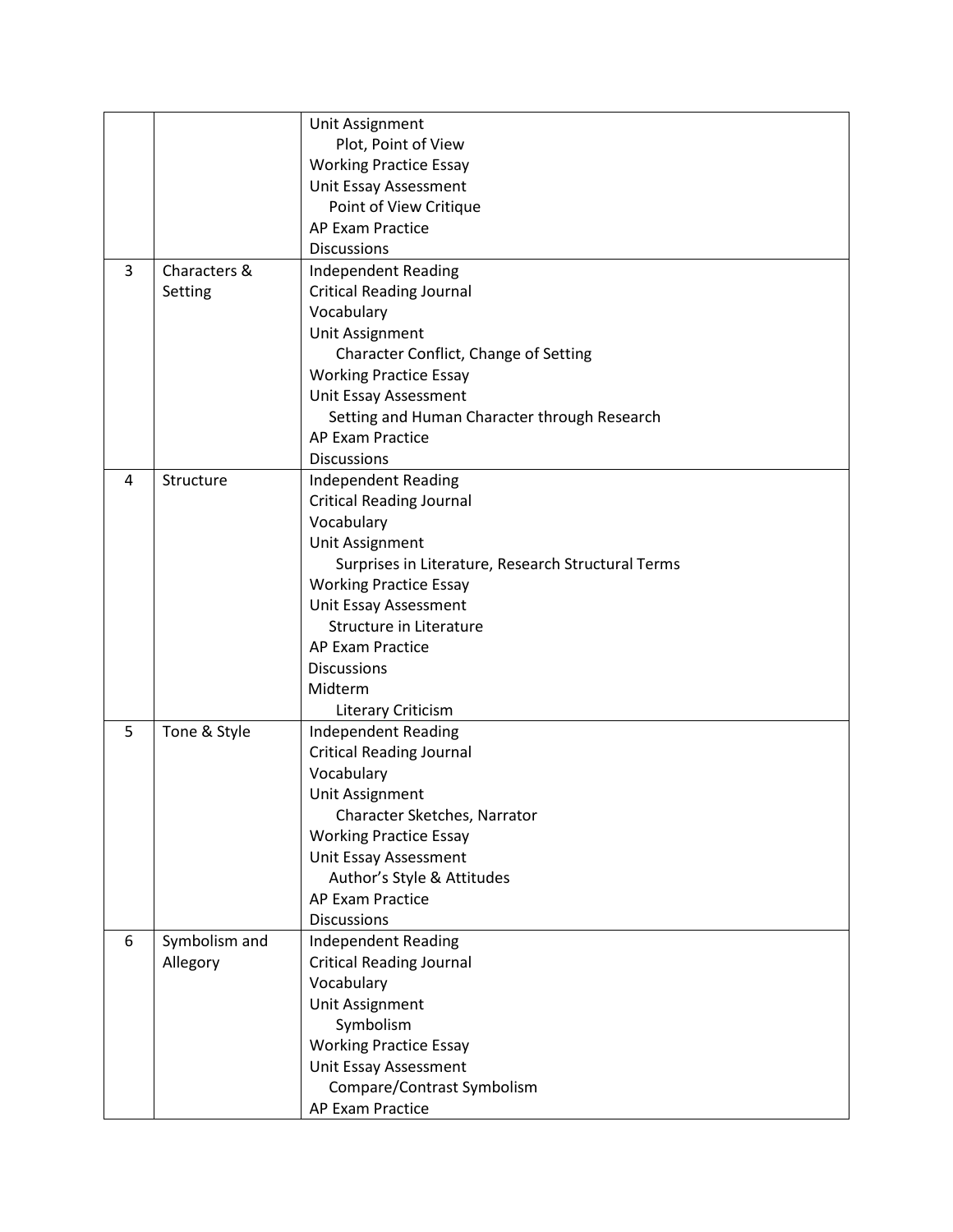|                |               | Unit Assignment                                    |
|----------------|---------------|----------------------------------------------------|
|                |               | Plot, Point of View                                |
|                |               | <b>Working Practice Essay</b>                      |
|                |               | Unit Essay Assessment                              |
|                |               | Point of View Critique                             |
|                |               | AP Exam Practice                                   |
|                |               | <b>Discussions</b>                                 |
| $\overline{3}$ | Characters &  | <b>Independent Reading</b>                         |
|                | Setting       | <b>Critical Reading Journal</b>                    |
|                |               | Vocabulary                                         |
|                |               | Unit Assignment                                    |
|                |               | Character Conflict, Change of Setting              |
|                |               | <b>Working Practice Essay</b>                      |
|                |               | Unit Essay Assessment                              |
|                |               | Setting and Human Character through Research       |
|                |               | <b>AP Exam Practice</b>                            |
|                |               | <b>Discussions</b>                                 |
| 4              | Structure     | <b>Independent Reading</b>                         |
|                |               | <b>Critical Reading Journal</b>                    |
|                |               | Vocabulary                                         |
|                |               | Unit Assignment                                    |
|                |               | Surprises in Literature, Research Structural Terms |
|                |               | <b>Working Practice Essay</b>                      |
|                |               | Unit Essay Assessment                              |
|                |               | <b>Structure in Literature</b>                     |
|                |               | AP Exam Practice                                   |
|                |               | <b>Discussions</b>                                 |
|                |               | Midterm                                            |
|                |               | Literary Criticism                                 |
| 5              | Tone & Style  | <b>Independent Reading</b>                         |
|                |               | <b>Critical Reading Journal</b>                    |
|                |               | Vocabulary                                         |
|                |               | Unit Assignment                                    |
|                |               | Character Sketches, Narrator                       |
|                |               | <b>Working Practice Essay</b>                      |
|                |               | Unit Essay Assessment                              |
|                |               | Author's Style & Attitudes                         |
|                |               | <b>AP Exam Practice</b>                            |
|                |               | <b>Discussions</b>                                 |
| 6              | Symbolism and | <b>Independent Reading</b>                         |
|                | Allegory      | <b>Critical Reading Journal</b>                    |
|                |               | Vocabulary                                         |
|                |               | Unit Assignment                                    |
|                |               | Symbolism                                          |
|                |               | <b>Working Practice Essay</b>                      |
|                |               | Unit Essay Assessment                              |
|                |               | Compare/Contrast Symbolism                         |
|                |               |                                                    |
|                |               | AP Exam Practice                                   |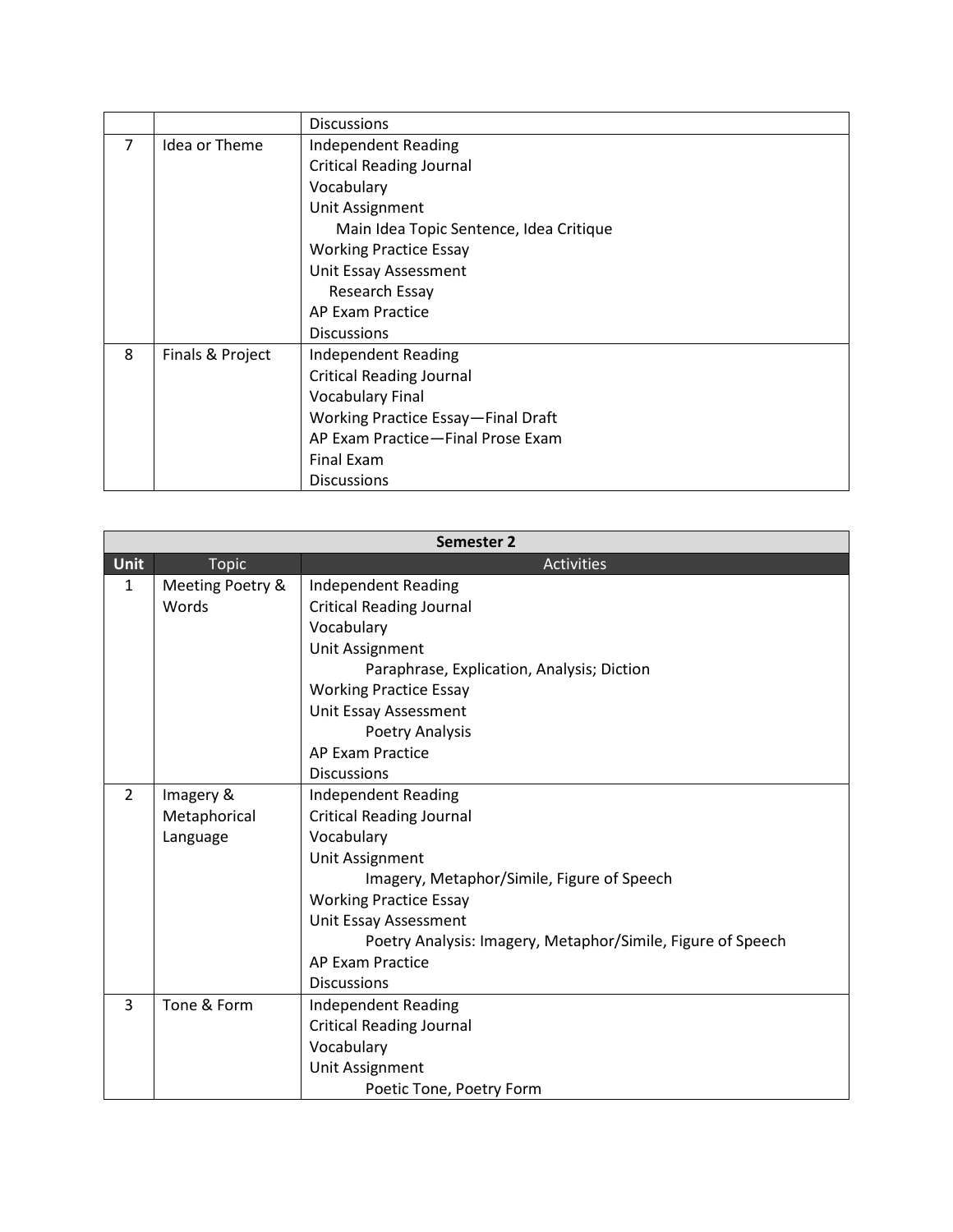|                |                  | <b>Discussions</b>                      |
|----------------|------------------|-----------------------------------------|
| $\overline{7}$ | Idea or Theme    | <b>Independent Reading</b>              |
|                |                  | <b>Critical Reading Journal</b>         |
|                |                  | Vocabulary                              |
|                |                  | Unit Assignment                         |
|                |                  | Main Idea Topic Sentence, Idea Critique |
|                |                  | <b>Working Practice Essay</b>           |
|                |                  | Unit Essay Assessment                   |
|                |                  | Research Essay                          |
|                |                  | AP Exam Practice                        |
|                |                  | <b>Discussions</b>                      |
| 8              | Finals & Project | <b>Independent Reading</b>              |
|                |                  | <b>Critical Reading Journal</b>         |
|                |                  | <b>Vocabulary Final</b>                 |
|                |                  | Working Practice Essay-Final Draft      |
|                |                  | AP Exam Practice-Final Prose Exam       |
|                |                  | Final Exam                              |
|                |                  | <b>Discussions</b>                      |

|                |                  | Semester 2                                                  |
|----------------|------------------|-------------------------------------------------------------|
| <b>Unit</b>    | <b>Topic</b>     | <b>Activities</b>                                           |
| 1              | Meeting Poetry & | <b>Independent Reading</b>                                  |
|                | Words            | <b>Critical Reading Journal</b>                             |
|                |                  | Vocabulary                                                  |
|                |                  | Unit Assignment                                             |
|                |                  | Paraphrase, Explication, Analysis; Diction                  |
|                |                  | <b>Working Practice Essay</b>                               |
|                |                  | Unit Essay Assessment                                       |
|                |                  | Poetry Analysis                                             |
|                |                  | AP Exam Practice                                            |
|                |                  | <b>Discussions</b>                                          |
| $\overline{2}$ | Imagery &        | <b>Independent Reading</b>                                  |
|                | Metaphorical     | <b>Critical Reading Journal</b>                             |
|                | Language         | Vocabulary                                                  |
|                |                  | Unit Assignment                                             |
|                |                  | Imagery, Metaphor/Simile, Figure of Speech                  |
|                |                  | <b>Working Practice Essay</b>                               |
|                |                  | Unit Essay Assessment                                       |
|                |                  | Poetry Analysis: Imagery, Metaphor/Simile, Figure of Speech |
|                |                  | AP Exam Practice                                            |
|                |                  | <b>Discussions</b>                                          |
| 3              | Tone & Form      | <b>Independent Reading</b>                                  |
|                |                  | <b>Critical Reading Journal</b>                             |
|                |                  | Vocabulary                                                  |
|                |                  | Unit Assignment                                             |
|                |                  | Poetic Tone, Poetry Form                                    |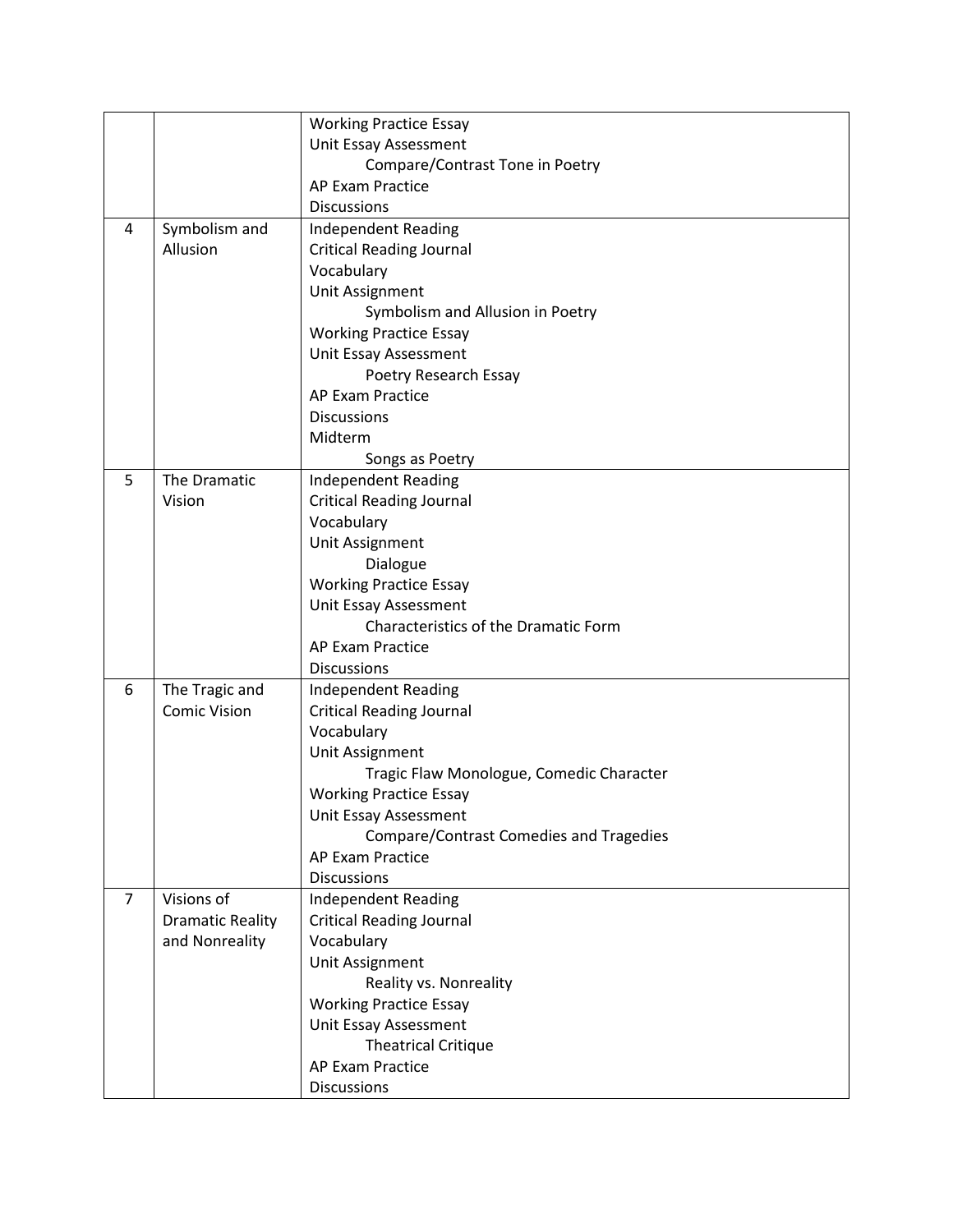|                |                         | <b>Working Practice Essay</b>                  |
|----------------|-------------------------|------------------------------------------------|
|                |                         | Unit Essay Assessment                          |
|                |                         | Compare/Contrast Tone in Poetry                |
|                |                         | AP Exam Practice                               |
|                |                         | <b>Discussions</b>                             |
| 4              | Symbolism and           | <b>Independent Reading</b>                     |
|                | Allusion                | <b>Critical Reading Journal</b>                |
|                |                         | Vocabulary                                     |
|                |                         | Unit Assignment                                |
|                |                         | Symbolism and Allusion in Poetry               |
|                |                         | <b>Working Practice Essay</b>                  |
|                |                         | Unit Essay Assessment                          |
|                |                         | Poetry Research Essay                          |
|                |                         | <b>AP Exam Practice</b>                        |
|                |                         | <b>Discussions</b>                             |
|                |                         | Midterm                                        |
|                |                         | Songs as Poetry                                |
| 5              | The Dramatic            | <b>Independent Reading</b>                     |
|                | Vision                  | <b>Critical Reading Journal</b>                |
|                |                         | Vocabulary                                     |
|                |                         | Unit Assignment                                |
|                |                         | Dialogue                                       |
|                |                         | <b>Working Practice Essay</b>                  |
|                |                         | Unit Essay Assessment                          |
|                |                         | Characteristics of the Dramatic Form           |
|                |                         | <b>AP Exam Practice</b>                        |
|                |                         | <b>Discussions</b>                             |
| 6              | The Tragic and          | <b>Independent Reading</b>                     |
|                | <b>Comic Vision</b>     | <b>Critical Reading Journal</b>                |
|                |                         | Vocabulary                                     |
|                |                         | Unit Assignment                                |
|                |                         | Tragic Flaw Monologue, Comedic Character       |
|                |                         | <b>Working Practice Essay</b>                  |
|                |                         | Unit Essay Assessment                          |
|                |                         | <b>Compare/Contrast Comedies and Tragedies</b> |
|                |                         | <b>AP Exam Practice</b>                        |
|                |                         | <b>Discussions</b>                             |
| $\overline{7}$ | Visions of              | <b>Independent Reading</b>                     |
|                | <b>Dramatic Reality</b> | <b>Critical Reading Journal</b>                |
|                | and Nonreality          | Vocabulary                                     |
|                |                         | Unit Assignment                                |
|                |                         | Reality vs. Nonreality                         |
|                |                         | <b>Working Practice Essay</b>                  |
|                |                         | Unit Essay Assessment                          |
|                |                         | <b>Theatrical Critique</b>                     |
|                |                         | AP Exam Practice                               |
|                |                         | <b>Discussions</b>                             |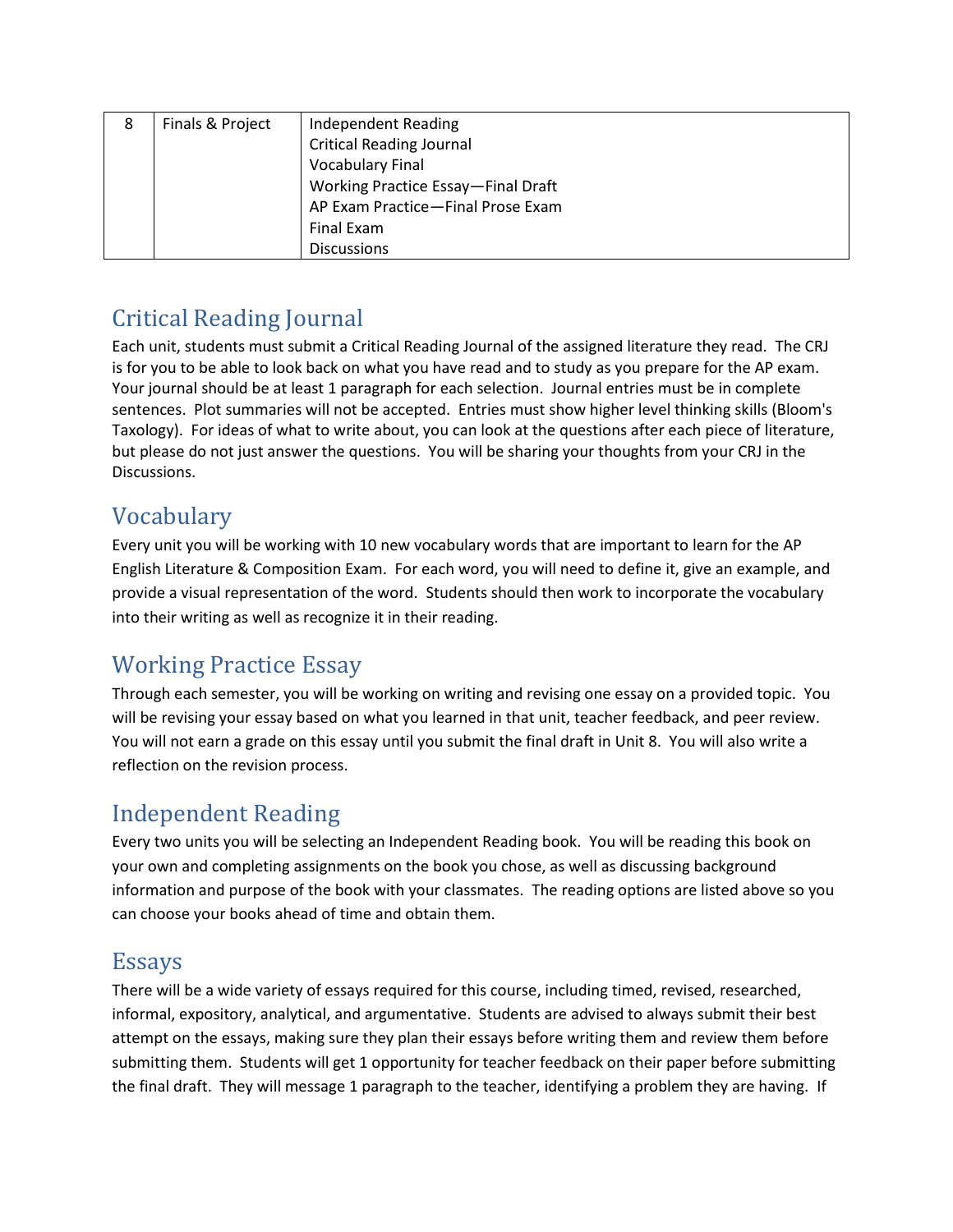| 8 | Finals & Project | Independent Reading                |
|---|------------------|------------------------------------|
|   |                  | <b>Critical Reading Journal</b>    |
|   |                  | <b>Vocabulary Final</b>            |
|   |                  | Working Practice Essay-Final Draft |
|   |                  | AP Exam Practice-Final Prose Exam  |
|   |                  | Final Exam                         |
|   |                  | <b>Discussions</b>                 |

## Critical Reading Journal

Each unit, students must submit a Critical Reading Journal of the assigned literature they read. The CRJ is for you to be able to look back on what you have read and to study as you prepare for the AP exam. Your journal should be at least 1 paragraph for each selection. Journal entries must be in complete sentences. Plot summaries will not be accepted. Entries must show higher level thinking skills (Bloom's Taxology). For ideas of what to write about, you can look at the questions after each piece of literature, but please do not just answer the questions. You will be sharing your thoughts from your CRJ in the Discussions.

#### Vocabulary

Every unit you will be working with 10 new vocabulary words that are important to learn for the AP English Literature & Composition Exam. For each word, you will need to define it, give an example, and provide a visual representation of the word. Students should then work to incorporate the vocabulary into their writing as well as recognize it in their reading.

## Working Practice Essay

Through each semester, you will be working on writing and revising one essay on a provided topic. You will be revising your essay based on what you learned in that unit, teacher feedback, and peer review. You will not earn a grade on this essay until you submit the final draft in Unit 8. You will also write a reflection on the revision process.

## Independent Reading

Every two units you will be selecting an Independent Reading book. You will be reading this book on your own and completing assignments on the book you chose, as well as discussing background information and purpose of the book with your classmates. The reading options are listed above so you can choose your books ahead of time and obtain them.

#### Essays

There will be a wide variety of essays required for this course, including timed, revised, researched, informal, expository, analytical, and argumentative. Students are advised to always submit their best attempt on the essays, making sure they plan their essays before writing them and review them before submitting them. Students will get 1 opportunity for teacher feedback on their paper before submitting the final draft. They will message 1 paragraph to the teacher, identifying a problem they are having. If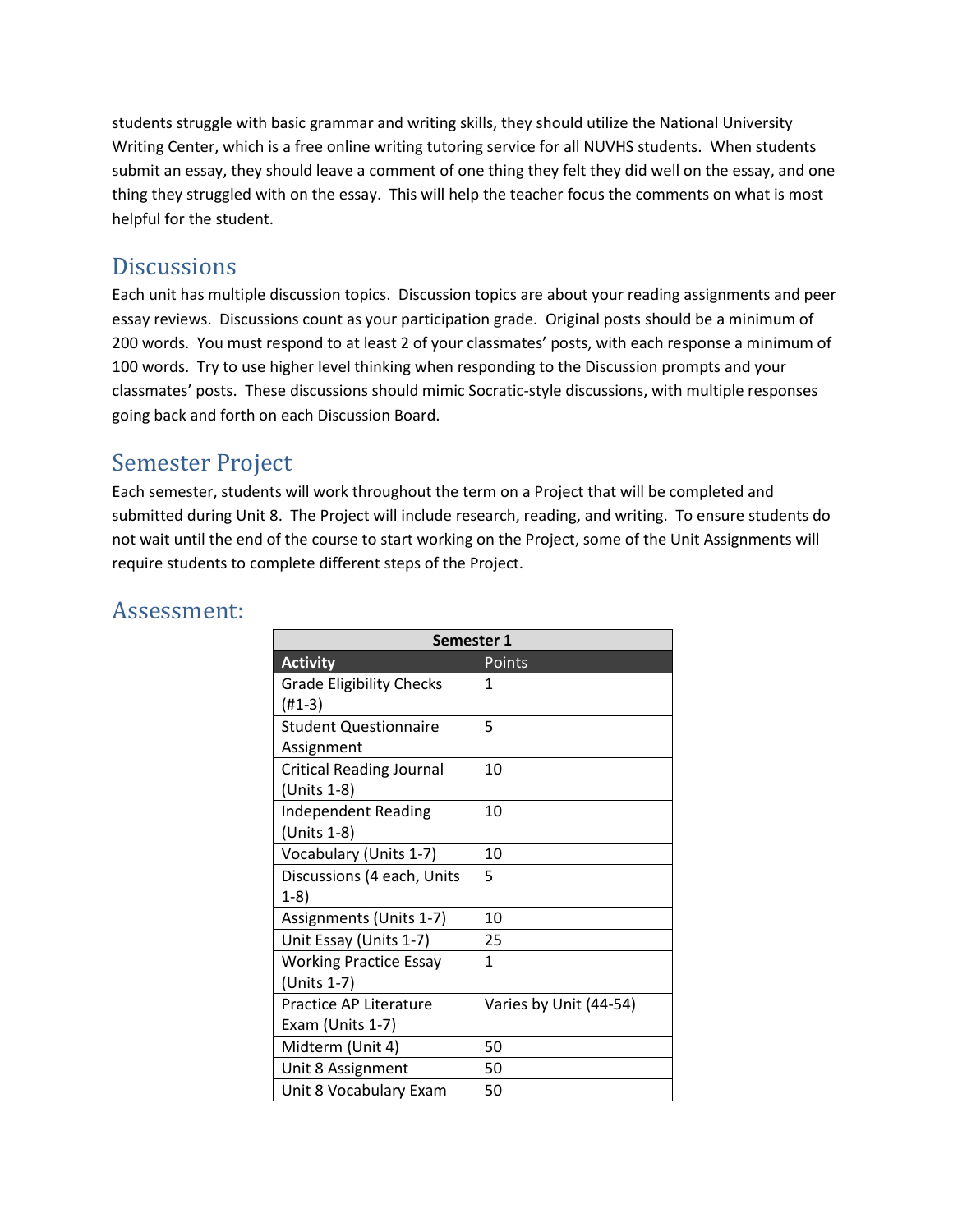students struggle with basic grammar and writing skills, they should utilize the National University Writing Center, which is a free online writing tutoring service for all NUVHS students. When students submit an essay, they should leave a comment of one thing they felt they did well on the essay, and one thing they struggled with on the essay. This will help the teacher focus the comments on what is most helpful for the student.

#### **Discussions**

Each unit has multiple discussion topics. Discussion topics are about your reading assignments and peer essay reviews. Discussions count as your participation grade. Original posts should be a minimum of 200 words. You must respond to at least 2 of your classmates' posts, with each response a minimum of 100 words. Try to use higher level thinking when responding to the Discussion prompts and your classmates' posts. These discussions should mimic Socratic-style discussions, with multiple responses going back and forth on each Discussion Board.

#### Semester Project

Each semester, students will work throughout the term on a Project that will be completed and submitted during Unit 8. The Project will include research, reading, and writing. To ensure students do not wait until the end of the course to start working on the Project, some of the Unit Assignments will require students to complete different steps of the Project.

| Semester 1                      |                        |  |
|---------------------------------|------------------------|--|
| <b>Activity</b>                 | Points                 |  |
| <b>Grade Eligibility Checks</b> | 1                      |  |
| $(H1-3)$                        |                        |  |
| <b>Student Questionnaire</b>    | 5                      |  |
| Assignment                      |                        |  |
| <b>Critical Reading Journal</b> | 10                     |  |
| (Units 1-8)                     |                        |  |
| <b>Independent Reading</b>      | 10                     |  |
| (Units 1-8)                     |                        |  |
| Vocabulary (Units 1-7)          | 10                     |  |
| Discussions (4 each, Units      | 5                      |  |
| $1-8)$                          |                        |  |
| Assignments (Units 1-7)         | 10                     |  |
| Unit Essay (Units 1-7)          | 25                     |  |
| <b>Working Practice Essay</b>   | $\mathbf{1}$           |  |
| (Units 1-7)                     |                        |  |
| Practice AP Literature          | Varies by Unit (44-54) |  |
| Exam (Units 1-7)                |                        |  |
| Midterm (Unit 4)                | 50                     |  |
| Unit 8 Assignment               | 50                     |  |
| Unit 8 Vocabulary Exam          | 50                     |  |

#### Assessment: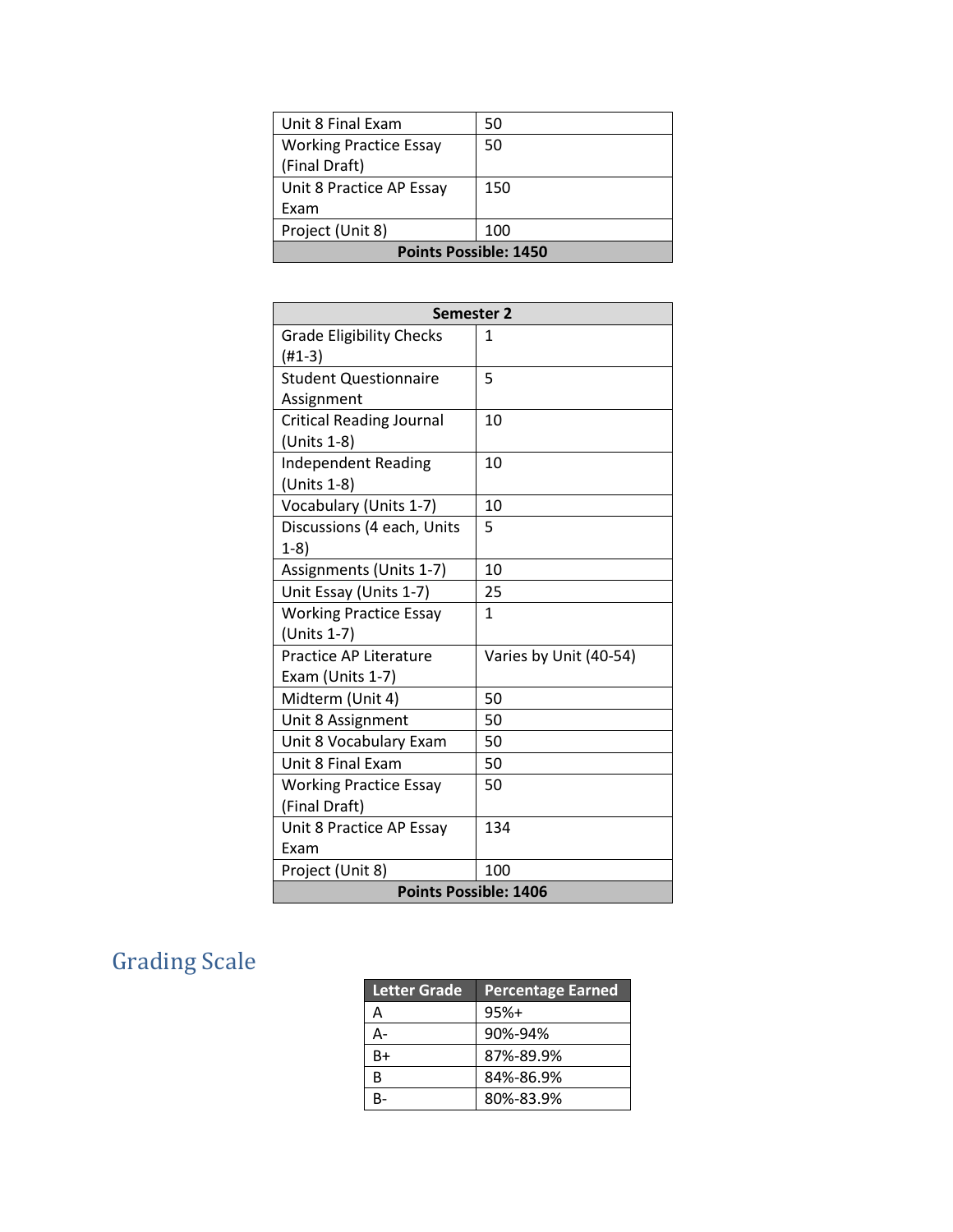| Unit 8 Final Exam             | 50  |  |
|-------------------------------|-----|--|
| <b>Working Practice Essay</b> | 50  |  |
| (Final Draft)                 |     |  |
| Unit 8 Practice AP Essay      | 150 |  |
| Exam                          |     |  |
| Project (Unit 8)              | 100 |  |
| <b>Points Possible: 1450</b>  |     |  |

| <b>Semester 2</b>               |                        |  |
|---------------------------------|------------------------|--|
| <b>Grade Eligibility Checks</b> | 1                      |  |
| $(H1-3)$                        |                        |  |
| <b>Student Questionnaire</b>    | 5                      |  |
| Assignment                      |                        |  |
| <b>Critical Reading Journal</b> | 10                     |  |
| (Units 1-8)                     |                        |  |
| <b>Independent Reading</b>      | 10                     |  |
| (Units 1-8)                     |                        |  |
| Vocabulary (Units 1-7)          | 10                     |  |
| Discussions (4 each, Units      | 5                      |  |
| $1-8)$                          |                        |  |
| Assignments (Units 1-7)         | 10                     |  |
| Unit Essay (Units 1-7)          | 25                     |  |
| <b>Working Practice Essay</b>   | $\mathbf{1}$           |  |
| (Units 1-7)                     |                        |  |
| Practice AP Literature          | Varies by Unit (40-54) |  |
| Exam (Units 1-7)                |                        |  |
| Midterm (Unit 4)                | 50                     |  |
| Unit 8 Assignment               | 50                     |  |
| Unit 8 Vocabulary Exam          | 50                     |  |
| Unit 8 Final Exam               | 50                     |  |
| <b>Working Practice Essay</b>   | 50                     |  |
| (Final Draft)                   |                        |  |
| Unit 8 Practice AP Essay        | 134                    |  |
| Exam                            |                        |  |
| Project (Unit 8)                | 100                    |  |
| <b>Points Possible: 1406</b>    |                        |  |

# Grading Scale

| <b>Letter Grade</b> | <b>Percentage Earned</b> |
|---------------------|--------------------------|
| А                   | $95%+$                   |
| А-                  | 90%-94%                  |
| $B+$                | 87%-89.9%                |
| B                   | 84%-86.9%                |
| R-                  | 80%-83.9%                |